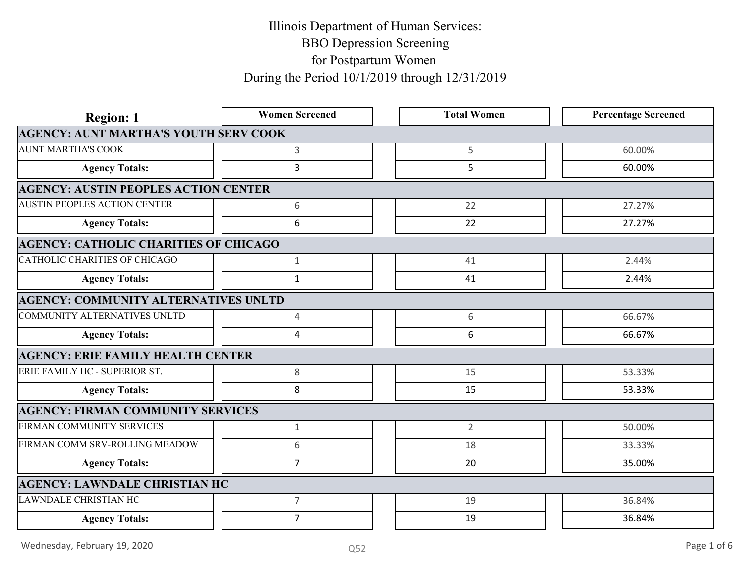| <b>Region: 1</b>                             | <b>Women Screened</b> | <b>Total Women</b> | <b>Percentage Screened</b> |
|----------------------------------------------|-----------------------|--------------------|----------------------------|
| <b>AGENCY: AUNT MARTHA'S YOUTH SERV COOK</b> |                       |                    |                            |
| <b>AUNT MARTHA'S COOK</b>                    | $\mathbf{3}$          | 5                  | 60.00%                     |
| <b>Agency Totals:</b>                        | $\overline{3}$        | 5                  | 60.00%                     |
| <b>AGENCY: AUSTIN PEOPLES ACTION CENTER</b>  |                       |                    |                            |
| <b>AUSTIN PEOPLES ACTION CENTER</b>          | 6                     | 22                 | 27.27%                     |
| <b>Agency Totals:</b>                        | 6                     | 22                 | 27.27%                     |
| <b>AGENCY: CATHOLIC CHARITIES OF CHICAGO</b> |                       |                    |                            |
| CATHOLIC CHARITIES OF CHICAGO                | 1                     | 41                 | 2.44%                      |
| <b>Agency Totals:</b>                        | 1                     | 41                 | 2.44%                      |
| <b>AGENCY: COMMUNITY ALTERNATIVES UNLTD</b>  |                       |                    |                            |
| COMMUNITY ALTERNATIVES UNLTD                 | 4                     | 6                  | 66.67%                     |
| <b>Agency Totals:</b>                        | 4                     | 6                  | 66.67%                     |
| <b>AGENCY: ERIE FAMILY HEALTH CENTER</b>     |                       |                    |                            |
| ERIE FAMILY HC - SUPERIOR ST.                | 8                     | 15                 | 53.33%                     |
| <b>Agency Totals:</b>                        | 8                     | 15                 | 53.33%                     |
| <b>AGENCY: FIRMAN COMMUNITY SERVICES</b>     |                       |                    |                            |
| FIRMAN COMMUNITY SERVICES                    | $\mathbf{1}$          | $\overline{2}$     | 50.00%                     |
| FIRMAN COMM SRV-ROLLING MEADOW               | 6                     | 18                 | 33.33%                     |
| <b>Agency Totals:</b>                        | $\overline{ }$        | 20                 | 35.00%                     |
| <b>AGENCY: LAWNDALE CHRISTIAN HC</b>         |                       |                    |                            |
| LAWNDALE CHRISTIAN HC                        | $\overline{7}$        | 19                 | 36.84%                     |
| <b>Agency Totals:</b>                        | $\overline{7}$        | 19                 | 36.84%                     |
|                                              |                       |                    | Page 1 of 6                |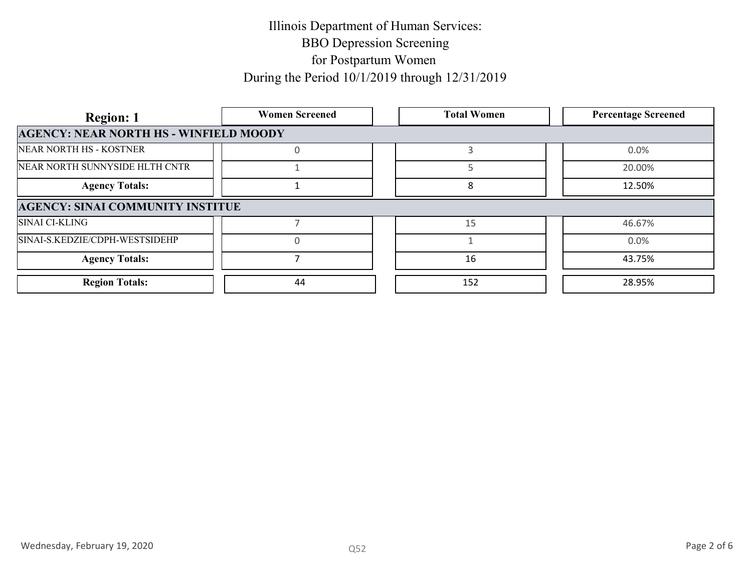| <b>Region: 1</b>                              | <b>Women Screened</b> | <b>Total Women</b> | <b>Percentage Screened</b> |
|-----------------------------------------------|-----------------------|--------------------|----------------------------|
| <b>AGENCY: NEAR NORTH HS - WINFIELD MOODY</b> |                       |                    |                            |
| NEAR NORTH HS - KOSTNER                       |                       |                    | $0.0\%$                    |
| NEAR NORTH SUNNYSIDE HLTH CNTR                |                       |                    | 20.00%                     |
| <b>Agency Totals:</b>                         |                       | 8                  | 12.50%                     |
| <b>AGENCY: SINAI COMMUNITY INSTITUE</b>       |                       |                    |                            |
| <b>SINAI CI-KLING</b>                         |                       | 15                 | 46.67%                     |
| SINAI-S.KEDZIE/CDPH-WESTSIDEHP                |                       |                    | 0.0%                       |
| <b>Agency Totals:</b>                         |                       | 16                 | 43.75%                     |
| <b>Region Totals:</b>                         | 44                    | 152                | 28.95%                     |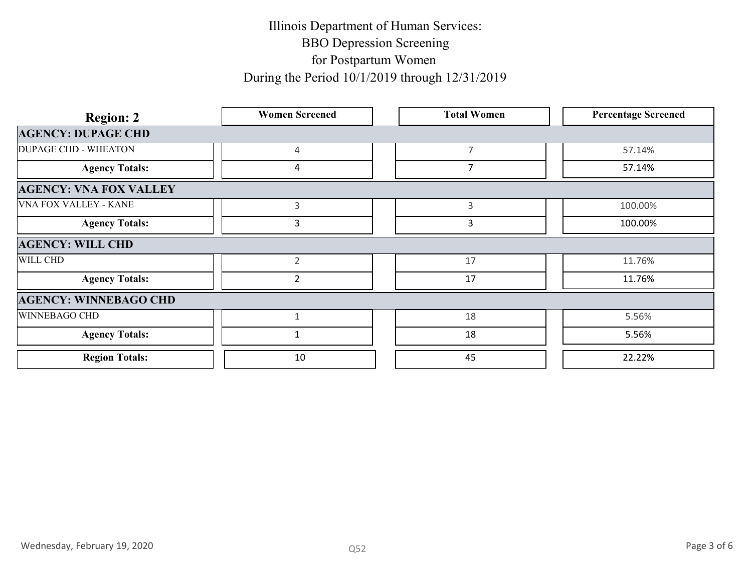| <b>Region: 2</b>              | <b>Women Screened</b> | <b>Total Women</b> | <b>Percentage Screened</b> |
|-------------------------------|-----------------------|--------------------|----------------------------|
| <b>AGENCY: DUPAGE CHD</b>     |                       |                    |                            |
| <b>DUPAGE CHD - WHEATON</b>   | 4                     | $\overline{7}$     | 57.14%                     |
| <b>Agency Totals:</b>         | 4                     | $\overline{7}$     | 57.14%                     |
| <b>AGENCY: VNA FOX VALLEY</b> |                       |                    |                            |
| <b>VNA FOX VALLEY - KANE</b>  | $\mathbf{3}$          | $\mathsf{3}$       | 100.00%                    |
| <b>Agency Totals:</b>         | $\mathbf{3}$          | $\overline{3}$     | 100.00%                    |
| <b>AGENCY: WILL CHD</b>       |                       |                    |                            |
| WILL CHD                      | $\overline{2}$        | 17                 | 11.76%                     |
| <b>Agency Totals:</b>         | $\overline{2}$        | 17                 | 11.76%                     |
| <b>AGENCY: WINNEBAGO CHD</b>  |                       |                    |                            |
| WINNEBAGO CHD                 | $\mathbf{1}$          | 18                 | 5.56%                      |
| <b>Agency Totals:</b>         | $\mathbf{1}$          | 18                 | 5.56%                      |
| <b>Region Totals:</b>         | 10                    | 45                 | 22.22%                     |
|                               |                       |                    |                            |
| Wednesday, February 19, 2020  | Q52                   |                    | Page 3 of 6                |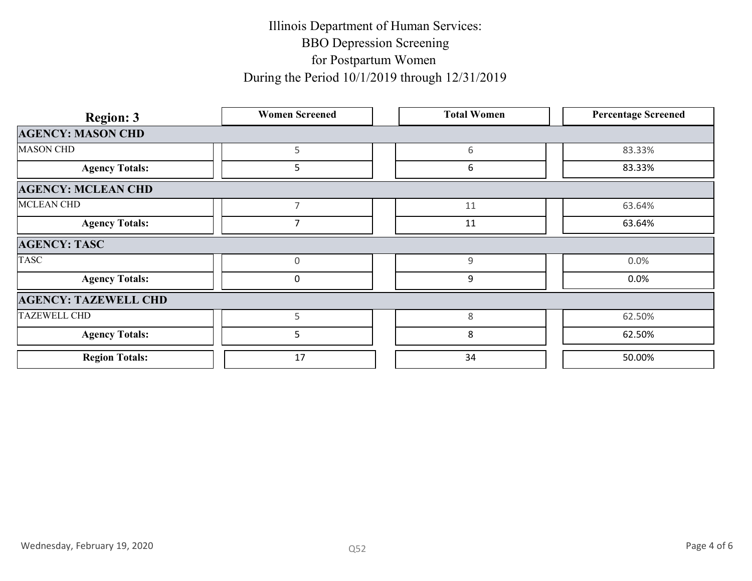| <b>Region: 3</b>             | <b>Women Screened</b> | <b>Total Women</b> | <b>Percentage Screened</b> |
|------------------------------|-----------------------|--------------------|----------------------------|
| <b>AGENCY: MASON CHD</b>     |                       |                    |                            |
| <b>MASON CHD</b>             | 5                     | 6                  | 83.33%                     |
| <b>Agency Totals:</b>        | $5\phantom{.}$        | 6                  | 83.33%                     |
| <b>AGENCY: MCLEAN CHD</b>    |                       |                    |                            |
| <b>MCLEAN CHD</b>            | $\overline{7}$        | 11                 | 63.64%                     |
| <b>Agency Totals:</b>        | $\overline{7}$        | 11                 | 63.64%                     |
| <b>AGENCY: TASC</b>          |                       |                    |                            |
| <b>TASC</b>                  | $\overline{0}$        | 9                  | $0.0\%$                    |
| <b>Agency Totals:</b>        | $\mathbf 0$           | $\boldsymbol{9}$   | $0.0\%$                    |
| <b>AGENCY: TAZEWELL CHD</b>  |                       |                    |                            |
| <b>TAZEWELL CHD</b>          | 5                     | $\,8\,$            | 62.50%                     |
| <b>Agency Totals:</b>        | $5\phantom{.}$        | $\bf 8$            | 62.50%                     |
| <b>Region Totals:</b>        | 17                    | 34                 | 50.00%                     |
|                              |                       |                    |                            |
| Wednesday, February 19, 2020 | Q52                   |                    | Page 4 of 6                |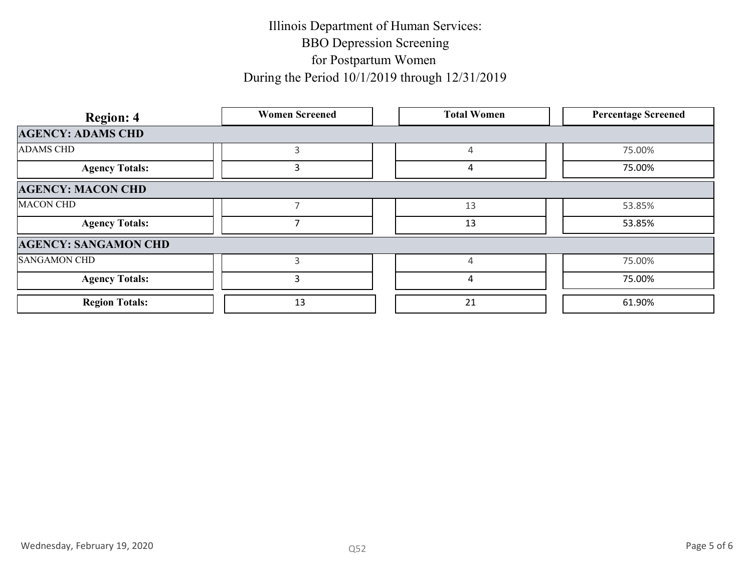| <b>Region: 4</b>            | <b>Women Screened</b> | <b>Total Women</b> | <b>Percentage Screened</b> |
|-----------------------------|-----------------------|--------------------|----------------------------|
| <b>AGENCY: ADAMS CHD</b>    |                       |                    |                            |
| <b>ADAMS CHD</b>            | $\mathbf{3}$          | $\overline{4}$     | 75.00%                     |
| <b>Agency Totals:</b>       | $\mathbf{3}$          | $\overline{4}$     | 75.00%                     |
| <b>AGENCY: MACON CHD</b>    |                       |                    |                            |
| <b>MACON CHD</b>            | $\overline{7}$        | 13                 | 53.85%                     |
| <b>Agency Totals:</b>       | $\overline{7}$        | 13                 | 53.85%                     |
| <b>AGENCY: SANGAMON CHD</b> |                       |                    |                            |
| <b>SANGAMON CHD</b>         | $\mathbf{3}$          | $\overline{4}$     | 75.00%                     |
| <b>Agency Totals:</b>       | $\mathbf{3}$          | $\overline{a}$     | 75.00%                     |
| <b>Region Totals:</b>       | 13                    | 21                 | 61.90%                     |
|                             |                       |                    |                            |
|                             |                       |                    |                            |